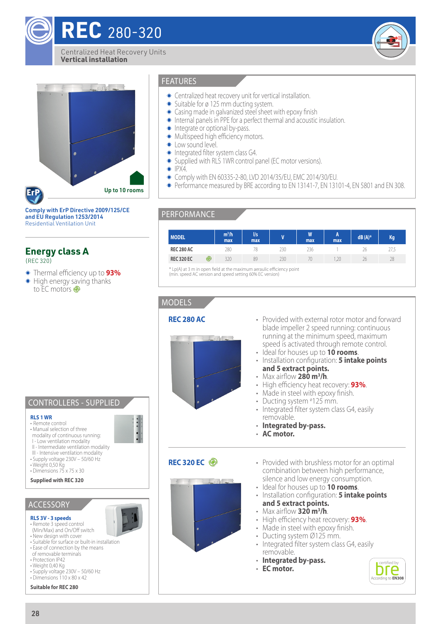# **REC** 280-320

Centralized Heat Recovery Units **Vertical installation**





Comply with ErP Directive 2009/125/CE and EU Regulation 1253/2014 Residential Ventilation Unit

**Energy class A** (REC 320)

- Thermal efficiency up to **93%**
- $\bullet$  High energy saving thanks to FC motors

## FEATURES

- Centralized heat recovery unit for vertical installation.
- Suitable for ø 125 mm ducting system.
- $\bullet$  Casing made in galvanized steel sheet with epoxy finish
- $\bullet$  Internal panels in PPE for a perfect thermal and acoustic insulation.
- Integrate or optional by-pass.
- $\bullet$  Multispeed high efficiency motors.
- $\bullet$  Low sound level.
- Integrated filter system class G4.
- Ô Supplied with RLS 1WR control panel (EC motor versions).
- $\bullet$  IPX4
- Comply with EN 60335-2-80, LVD 2014/35/EU, EMC 2014/30/EU.
- Performance measured by BRE according to EN 13141-7, EN 13101-4, EN 5801 and EN 308.

## PERFORMANCE

| <b>MODEL</b>      |   | $m^3/h$<br>max | l/s<br>max |     | W<br>max | A<br>max | $dB(A)*$ | Kg   |
|-------------------|---|----------------|------------|-----|----------|----------|----------|------|
| <b>REC 280 AC</b> |   | 280            | 78         | 230 | 236      |          |          | 27.5 |
| <b>REC 320 EC</b> | ◉ | 320            | 89         | 230 | 70       | 1.20     | 26       | 28   |

\* Lp(A) at 3 m in open field at the maximum aeraulic efficiency point (min. speed AC version and speed setting 60% EC version)



#### CONTROLLERS - SUPPLIED **RLS 1 WR**  $\ddot{\cdot}$ • Remote control • Manual selection of three modality of continuous running: I - Low ventilation modality II - Intermediate ventilation modality III - Intensive ventilation modality • Supply voltage 230V – 50/60 Hz • Weight 0,50 Kg • Dimensions 75 x 75 x 30 **Supplied with REC 320** ACCESSORY **RLS 3V - 3 speeds** • Remote 3 speed control (Min/Max) and On/Off switch • New design with cover • Suitable for surface or built-in installation • Ease of connection by the means of removable terminals • Protection IP42 • Weight 0,40 Kg

• Supply voltage 230V – 50/60 Hz

• Dimensions 110 x 80 x 42

### **Suitable for REC 280**